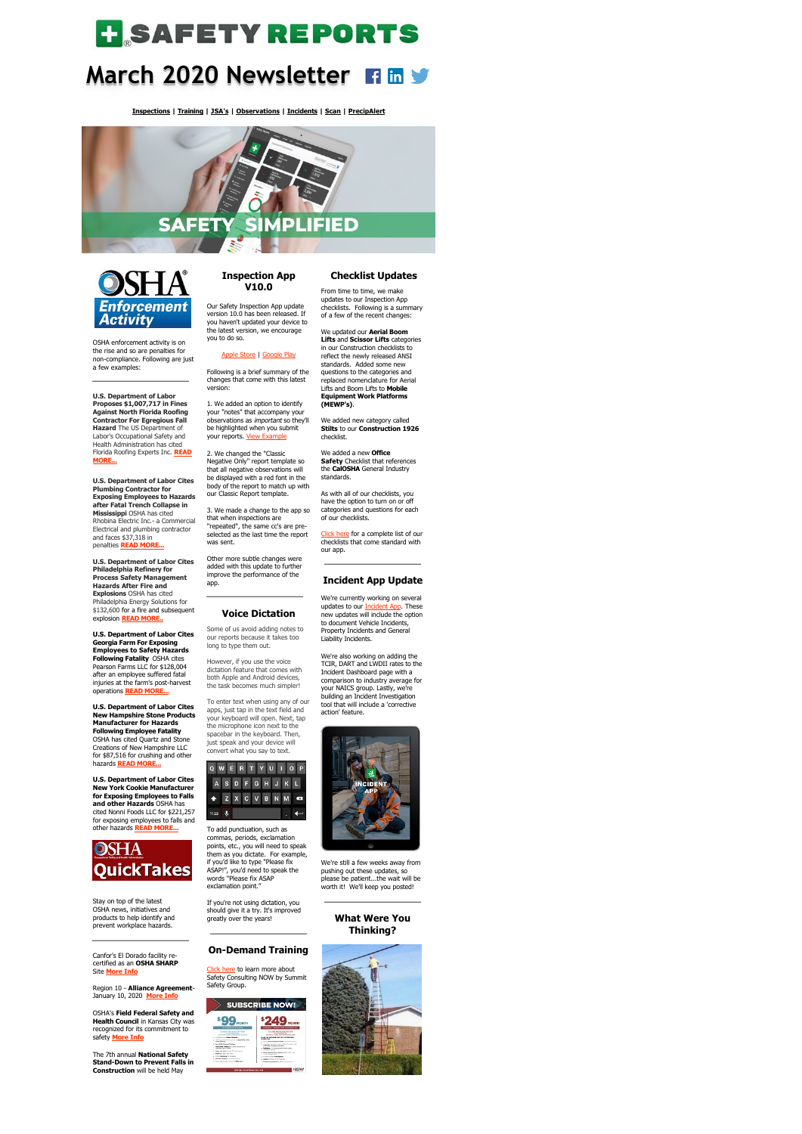# **H**SAFETYREPORTS

## **March 2020 Newsletter**

**[Inspections](https://www.safety-reports.com/safety-inspection/) | [Training](https://www.safety-reports.com/safety-training/) | [JSA's](https://www.safety-reports.com/jsa/) | [Observations](https://www.safety-reports.com/safety-observation-app/) | [Incidents](https://www.safety-reports.com/safety-incident-app/) | [Scan](https://www.safety-reports.com/sr-scan-app/) | [PrecipAlert](https://www.safety-reports.com/precipalert/)**





OSHA enforcement activity is on the rise and so are penalties for non-compliance. Following are just a few examples:

**U.S. Department of Labor Proposes \$1,007,717 in Fines Against North Florida Roofing Contractor For Egregious Fall Hazard** The US Department of Labor's Occupational Safety and Health Administration has cited [Florida Roofing Experts Inc.](https://www.safety-reports.com/blog/march-2020-enforcement/#florida) **READ MORE...**

**U.S. Department of Labor Cites Plumbing Contractor for Exposing Employees to Hazards after Fatal Trench Collapse in Mississippi** OSHA has cited Rhobina Electric Inc.- a Commercial Electrical and plumbing contractor and faces \$37,318 in penalties **[READ MORE...](https://www.safety-reports.com/blog/march-2020-enforcement/#mississippi)**

**U.S. Department of Labor Cites Philadelphia Refinery for Process Safety Management Hazards After Fire and Explosions** OSHA has cited Philadelphia Energy Solutions for

\$132,600 for a fire and subsequent explosion **[READ MORE..](https://www.safety-reports.com/blog/march-2020-enforcement/#pennsylvania)**

**U.S. Department of Labor Cites Georgia Farm For Exposing Employees to Safety Hazards Following Fatality** OSHA cites Pearson Farms LLC for \$128,004 after an employee suffered fatal injuries at the farm's post-harvest operations **[READ MORE...](https://www.safety-reports.com/blog/march-2020-enforcement/#georgia)**

1. We added an option to identify your "notes" that accompany your observations as important so they'll be highlighted when you submit your reports. [View Example](https://www.safety-reports.com/instructionpage/how-to-highlight-nots-in-reports/)

**U.S. Department of Labor Cites New Hampshire Stone Products Manufacturer for Hazards Following Employee Fatality** OSHA has cited Quartz and Stone Creations of New Hampshire LLC for \$87,516 for crushing and other hazards **[READ MORE...](https://www.safety-reports.com/blog/march-2020-enforcement/#hampshire)**

**U.S. Department of Labor Cites New York Cookie Manufacturer for Exposing Employees to Falls and other Hazards** OSHA has cited Nonni Foods LLC for \$221,257 for exposing employees to falls and other hazards **[READ MORE...](https://www.safety-reports.com/blog/march-2020-enforcement/#york)**



Stay on top of the latest OSHA news, initiatives and products to help identify and prevent workplace hazards.

Canfor's El Dorado facility recertified as an **OSHA SHARP**

Site **[More Info](https://www.safety-reports.com/blog/march-2020-quicktakes/#sharp)**

Region 10 - **[Alliance Agreem](https://www.safety-reports.com/blog/august-newsletter-quicktakes/#laborsecretary)ent**-January 10, 2020 **[More Info](https://www.safety-reports.com/blog/march-quicktakes/#alliance)** OSHA's **Field Federal Safety and**

[Click here](http://www.safetyconsultingnow.com/) to learn more about Safety Consulting NOW by Summit Safety Group.





safety **[More Info](https://www.safety-reports.com/blog/march-2020-quicktakes/#federal)**

The 7th annual **National Safety Stand-Down to Prevent Falls in Construction** will be held May

#### **Inspection App V10.0**

Our Safety Inspection App update version 10.0 has been released. If you haven't updated your device to the latest version, we encourage you to do so.

#### [Apple Store](https://itunes.apple.com/us/app/safety-reports-mobile-inspection-app/id536327518?mt=8) | [Google Play](https://play.google.com/store/apps/details?id=com.inetsgi.safetyreports&hl=en)

Following is a brief summary of the changes that come with this latest version:

> [Click here](https://www.safety-reports.com/safety-inspection/checklists/) for a complete list of our checklists that come standard with our app.

#### updates to our <u>Incident App</u>. These new updates will include the option to document Vehicle Incidents, Property Incidents and General Liability Incidents.

2. We changed the "Classic Negative Only" report template so that all negative observations will be displayed with a red font in the body of the report to match up with our Classic Report template.

3. We made a change to the app so that when inspections are "repeated", the same cc's are preselected as the last time the report was sent.

Other more subtle changes were added with this update to further improve the performance of the app.

**Voice Dictation**

Some of us avoid adding notes to our reports because it takes too long to type them out.

However, if you use the voice dictation feature that comes with both Apple and Android devices, the task becomes much simpler!

To enter text when using any of our apps, just tap in the text field and your keyboard will open. Next, tap the microphone icon next to the spacebar in the keyboard. Then, just speak and your device will convert what you say to text.



To add punctuation, such as commas, periods, exclamation points, etc., you will need to speak them as you dictate. For example, if you'd like to type "Please fix ASAP!", you'd need to speak the words "Please fix ASAP exclamation point."

If you're not using dictation, you should give it a try. It's improved greatly over the years!

### **On-Demand Training**

#### **Checklist Updates**

From time to time, we make updates to our Inspection App checklists. Following is a summary of a few of the recent changes:

We updated our **Aerial Boom**

**Lifts** and **Scissor Lifts** categories in our Construction checklists to reflect the newly released ANSI standards. Added some new questions to the categories and replaced nomenclature for Aerial Lifts and Boom Lifts to **Mobile Equipment Work Platforms (MEWP's)**.

We added new category called **Stilts** to our **Construction 1926** checklist.

We added a new **Office Safety** Checklist that references the **CalOSHA** General Industry standards.

As with all of our checklists, you have the option to turn on or off categories and questions for each of our checklists.

#### **Incident App Update**

We're currently working on several

We're also working on adding the TCIR, DART and LWDII rates to the Incident Dashboard page with a comparison to industry average for your NAICS group. Lastly, we're building an Incident Investigation tool that will include a 'corrective action' feature.



We're still a few weeks away from pushing out these updates, so please be patient...the wait will be worth it! We'll keep you posted!

#### **What Were You Thinking?**